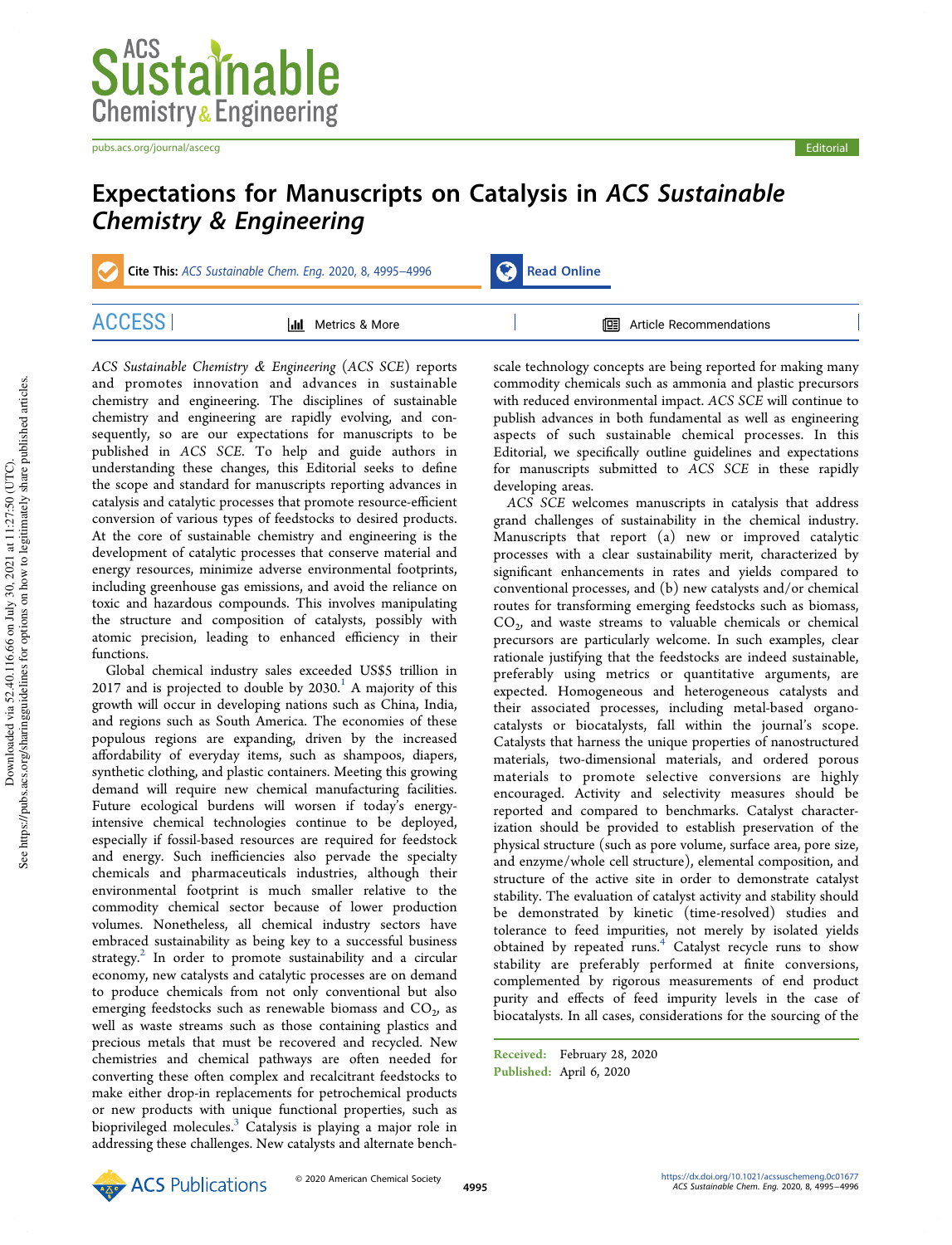

pubs.acs.org/journal/ascecg entertainment of the control of the control of the control entertainment of the control of the control of the control of the control of the control of the control of the control of the control o



## Expectations for Manuscripts on Catalysis in ACS Sustainable Chemistry & Engineering

Cite This: ACS Sustainable Chem. Eng. 2020, 8, 4995–4996 Read Online

| Λ1 | Metrics & More<br><u> Jil</u> | 啯<br>Article Recommendations |  |
|----|-------------------------------|------------------------------|--|

*ACS Sustainable Chemistry* & *Engineering* (*ACS SCE*) reports and promotes innovation and advances in sustainable chemistry and engineering. The disciplines of sustainable chemistry and engineering are rapidly evolving, and consequently, so are our expectations for manuscripts to be published in *ACS SCE*. To help and guide authors in understanding these changes, this Editorial seeks to define the scope and standard for manuscripts reporting advances in catalysis and catalytic processes that promote resource-efficient conversion of various types of feedstocks to desired products. At the core of sustainable chemistry and engineering is the development of catalytic processes that conserve material and energy resources, minimize adverse environmental footprints, including greenhouse gas emissions, and avoid the reliance on toxic and hazardous compounds. This involves manipulating the structure and composition of catalysts, possibly with atomic precision, leading to enhanced efficiency in their functions.

Global chemical industry sales exceeded US\$5 trillion in  $2017$  and is projected to double by  $2030.<sup>1</sup>$  A majority of this growth will occur in developing nations such as China, India, and regions such as South America. The economies of these populous regions are expanding, driven by the increased affordability of everyday items, such as shampoos, diapers, synthetic clothing, and plastic containers. Meeting this growing demand will require new chemical manufacturing facilities. Future ecological burdens will worsen if today's energyintensive chemical technologies continue to be deployed, especially if fossil-based resources are required for feedstock and energy. Such inefficiencies also pervade the specialty chemicals and pharmaceuticals industries, although their environmental footprint is much smaller relative to the commodity chemical sector because of lower production volumes. Nonetheless, all chemical industry sectors have embraced sustainability as being key to a successful business strategy.<sup>2</sup> In order to promote sustainability and a circular economy, new catalysts and catalytic processes are on demand to produce chemicals from not only conventional but also emerging feedstocks such as renewable biomass and  $\mathrm{CO}_2$ , as well as waste streams such as those containing plastics and precious metals that must be recovered and recycled. New chemistries and chemical pathways are often needed for converting these often complex and recalcitrant feedstocks to make either drop-in replacements for petrochemical products or new products with unique functional properties, such as bioprivileged molecules.<sup>3</sup> Catalysis is playing a major role in addressing these challenges. New catalysts and alternate bench-

scale technology concepts are being reported for making many commodity chemicals such as ammonia and plastic precursors with reduced environmental impact. *ACS SCE* will continue to publish advances in both fundamental as well as engineering aspects of such sustainable chemical processes. In this Editorial, we specifically outline guidelines and expectations for manuscripts submitted to *ACS SCE* in these rapidly developing areas.

*ACS SCE* welcomes manuscripts in catalysis that address grand challenges of sustainability in the chemical industry. Manuscripts that report (a) new or improved catalytic processes with a clear sustainability merit, characterized by significant enhancements in rates and yields compared to conventional processes, and (b) new catalysts and/or chemical routes for transforming emerging feedstocks such as biomass,  $CO<sub>2</sub>$ , and waste streams to valuable chemicals or chemical precursors are particularly welcome. In such examples, clear rationale justifying that the feedstocks are indeed sustainable, preferably using metrics or quantitative arguments, are expected. Homogeneous and heterogeneous catalysts and their associated processes, including metal-based organocatalysts or biocatalysts, fall within the journal's scope. Catalysts that harness the unique properties of nanostructured materials, two-dimensional materials, and ordered porous materials to promote selective conversions are highly encouraged. Activity and selectivity measures should be reported and compared to benchmarks. Catalyst characterization should be provided to establish preservation of the physical structure (such as pore volume, surface area, pore size, and enzyme/whole cell structure), elemental composition, and structure of the active site in order to demonstrate catalyst stability. The evaluation of catalyst activity and stability should be demonstrated by kinetic (time-resolved) studies and tolerance to feed impurities, not merely by isolated yields obtained by repeated runs. $4$  Catalyst recycle runs to show stability are preferably performed at finite conversions, complemented by rigorous measurements of end product purity and effects of feed impurity levels in the case of biocatalysts. In all cases, considerations for the sourcing of the

Received: February 28, 2020 Published: April 6, 2020